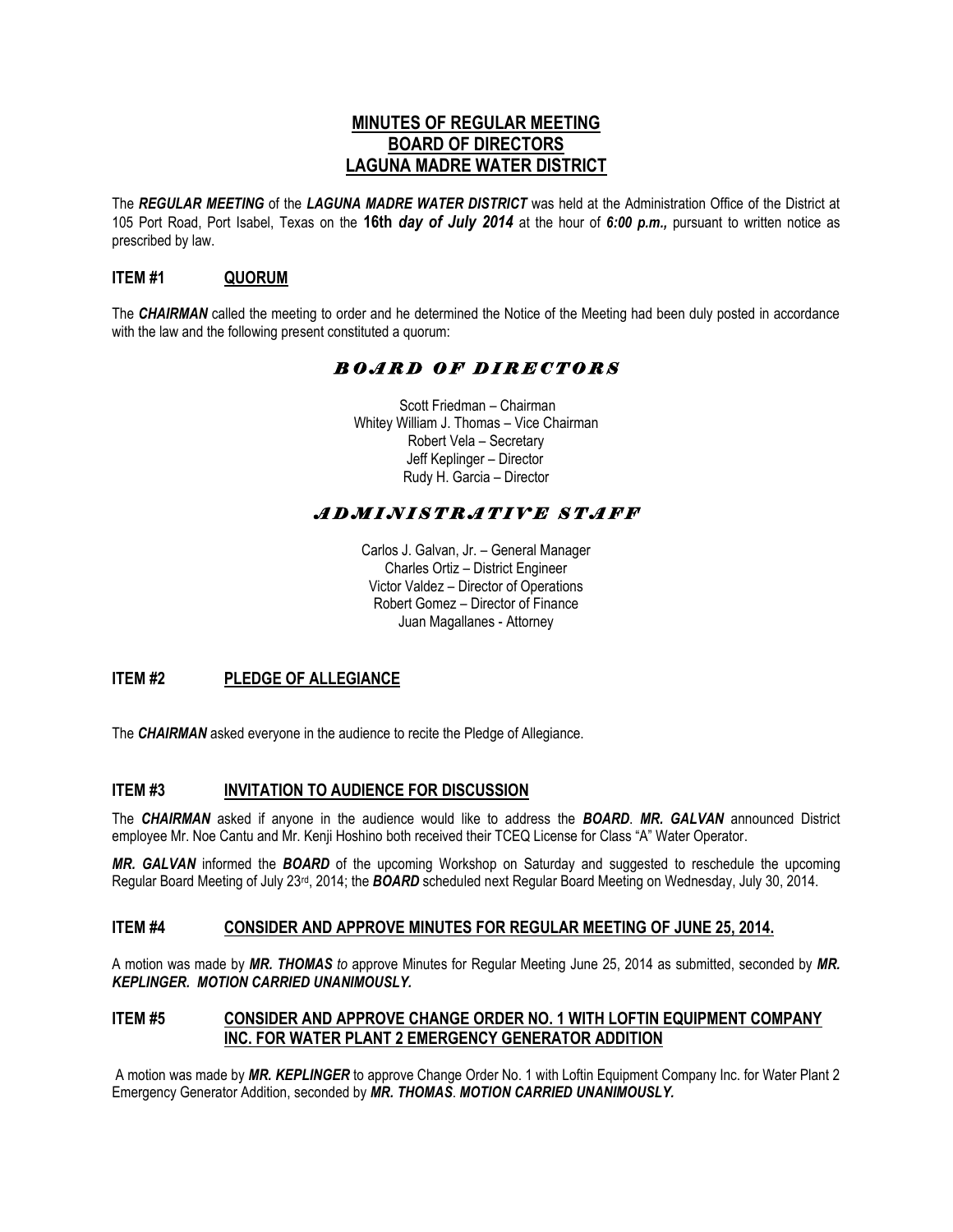# **MINUTES OF REGULAR MEETING BOARD OF DIRECTORS LAGUNA MADRE WATER DISTRICT**

The *REGULAR MEETING* of the *LAGUNA MADRE WATER DISTRICT* was held at the Administration Office of the District at 105 Port Road, Port Isabel, Texas on the **16th** *day of July 2014* at the hour of *6:00 p.m.,* pursuant to written notice as prescribed by law.

## **ITEM #1 QUORUM**

The *CHAIRMAN* called the meeting to order and he determined the Notice of the Meeting had been duly posted in accordance with the law and the following present constituted a quorum:

# *B O A R D O F D I R E C T O R S*

 Scott Friedman – Chairman Whitey William J. Thomas – Vice Chairman Robert Vela – Secretary Jeff Keplinger – Director Rudy H. Garcia – Director

# *A D M I N I S T R A T I V E S T A F F*

Carlos J. Galvan, Jr. – General Manager Charles Ortiz – District Engineer Victor Valdez – Director of Operations Robert Gomez – Director of Finance Juan Magallanes - Attorney

## **ITEM #2 PLEDGE OF ALLEGIANCE**

The *CHAIRMAN* asked everyone in the audience to recite the Pledge of Allegiance.

## **ITEM #3 INVITATION TO AUDIENCE FOR DISCUSSION**

The *CHAIRMAN* asked if anyone in the audience would like to address the *BOARD*. *MR. GALVAN* announced District employee Mr. Noe Cantu and Mr. Kenji Hoshino both received their TCEQ License for Class "A" Water Operator.

*MR. GALVAN* informed the *BOARD* of the upcoming Workshop on Saturday and suggested to reschedule the upcoming Regular Board Meeting of July 23rd, 2014; the *BOARD* scheduled next Regular Board Meeting on Wednesday, July 30, 2014.

#### **ITEM #4 CONSIDER AND APPROVE MINUTES FOR REGULAR MEETING OF JUNE 25, 2014.**

A motion was made by *MR. THOMAS to* approve Minutes for Regular Meeting June 25, 2014 as submitted, seconded by *MR. KEPLINGER. MOTION CARRIED UNANIMOUSLY.*

## **ITEM #5 CONSIDER AND APPROVE CHANGE ORDER NO. 1 WITH LOFTIN EQUIPMENT COMPANY INC. FOR WATER PLANT 2 EMERGENCY GENERATOR ADDITION**

A motion was made by *MR. KEPLINGER* to approve Change Order No. 1 with Loftin Equipment Company Inc. for Water Plant 2 Emergency Generator Addition, seconded by *MR. THOMAS*. *MOTION CARRIED UNANIMOUSLY.*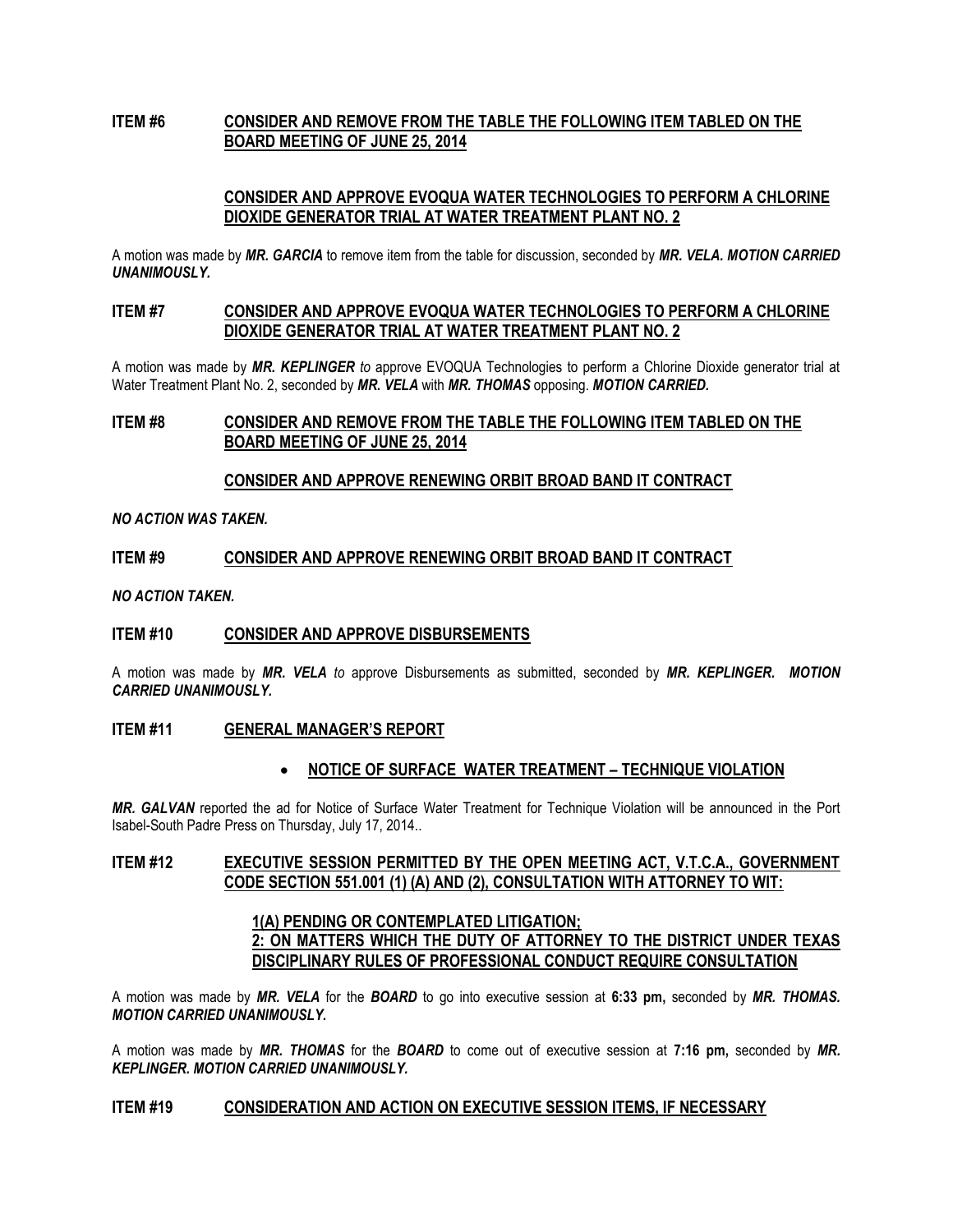## **ITEM #6 CONSIDER AND REMOVE FROM THE TABLE THE FOLLOWING ITEM TABLED ON THE BOARD MEETING OF JUNE 25, 2014**

## **CONSIDER AND APPROVE EVOQUA WATER TECHNOLOGIES TO PERFORM A CHLORINE DIOXIDE GENERATOR TRIAL AT WATER TREATMENT PLANT NO. 2**

A motion was made by *MR. GARCIA* to remove item from the table for discussion, seconded by *MR. VELA. MOTION CARRIED UNANIMOUSLY.*

## **ITEM #7 CONSIDER AND APPROVE EVOQUA WATER TECHNOLOGIES TO PERFORM A CHLORINE DIOXIDE GENERATOR TRIAL AT WATER TREATMENT PLANT NO. 2**

A motion was made by *MR. KEPLINGER to* approve EVOQUA Technologies to perform a Chlorine Dioxide generator trial at Water Treatment Plant No. 2, seconded by *MR. VELA* with *MR. THOMAS* opposing. *MOTION CARRIED.*

## **ITEM #8 CONSIDER AND REMOVE FROM THE TABLE THE FOLLOWING ITEM TABLED ON THE BOARD MEETING OF JUNE 25, 2014**

### **CONSIDER AND APPROVE RENEWING ORBIT BROAD BAND IT CONTRACT**

*NO ACTION WAS TAKEN.*

### **ITEM #9 CONSIDER AND APPROVE RENEWING ORBIT BROAD BAND IT CONTRACT**

*NO ACTION TAKEN.*

#### **ITEM #10 CONSIDER AND APPROVE DISBURSEMENTS**

A motion was made by *MR. VELA to* approve Disbursements as submitted, seconded by *MR. KEPLINGER. MOTION CARRIED UNANIMOUSLY.*

#### **ITEM #11 GENERAL MANAGER'S REPORT**

#### • **NOTICE OF SURFACE WATER TREATMENT – TECHNIQUE VIOLATION**

*MR. GALVAN* reported the ad for Notice of Surface Water Treatment for Technique Violation will be announced in the Port Isabel-South Padre Press on Thursday, July 17, 2014..

### **ITEM #12 EXECUTIVE SESSION PERMITTED BY THE OPEN MEETING ACT, V.T.C.A., GOVERNMENT CODE SECTION 551.001 (1) (A) AND (2), CONSULTATION WITH ATTORNEY TO WIT:**

## **1(A) PENDING OR CONTEMPLATED LITIGATION; 2: ON MATTERS WHICH THE DUTY OF ATTORNEY TO THE DISTRICT UNDER TEXAS DISCIPLINARY RULES OF PROFESSIONAL CONDUCT REQUIRE CONSULTATION**

A motion was made by *MR. VELA* for the *BOARD* to go into executive session at **6:33 pm,** seconded by *MR. THOMAS. MOTION CARRIED UNANIMOUSLY.* 

A motion was made by *MR. THOMAS* for the *BOARD* to come out of executive session at **7:16 pm,** seconded by *MR. KEPLINGER. MOTION CARRIED UNANIMOUSLY.*

#### **ITEM #19 CONSIDERATION AND ACTION ON EXECUTIVE SESSION ITEMS, IF NECESSARY**